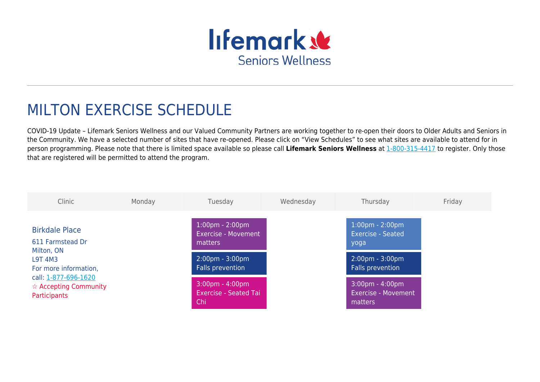

## MILTON EXERCISE SCHEDULE

COVID-19 Update – Lifemark Seniors Wellness and our Valued Community Partners are working together to re-open their doors to Older Adults and Seniors in the Community. We have a selected number of sites that have re-opened. Please click on "View Schedules" to see what sites are available to attend for in person programming. Please note that there is limited space available so please call **Lifemark Seniors Wellness** at [1-800-315-4417](#page--1-0) to register. Only those that are registered will be permitted to attend the program.

| Clinic                                                                                                                                                                               | Monday | Tuesday                                                                  | Wednesday | Thursday                                                              | Friday |
|--------------------------------------------------------------------------------------------------------------------------------------------------------------------------------------|--------|--------------------------------------------------------------------------|-----------|-----------------------------------------------------------------------|--------|
| <b>Birkdale Place</b><br>611 Farmstead Dr<br>Milton, ON<br><b>L9T 4M3</b><br>For more information,<br>call: 1-877-696-1620<br>$\hat{\mathbf{x}}$ Accepting Community<br>Participants |        | $1:00 \text{pm} - 2:00 \text{pm}$<br>Exercise - Movement<br>matters      |           | $1:00 \text{pm} - 2:00 \text{pm}$<br><b>Exercise - Seated</b><br>yoga |        |
|                                                                                                                                                                                      |        | $2:00 \text{pm} - 3:00 \text{pm}$<br>Falls prevention                    |           | $2:00 \text{pm} - 3:00 \text{pm}$<br>Falls prevention                 |        |
|                                                                                                                                                                                      |        | $3:00 \text{pm} - 4:00 \text{pm}$<br><b>Exercise - Seated Tai</b><br>Chi |           | $3:00 \text{pm} - 4:00 \text{pm}$<br>Exercise - Movement<br>matters   |        |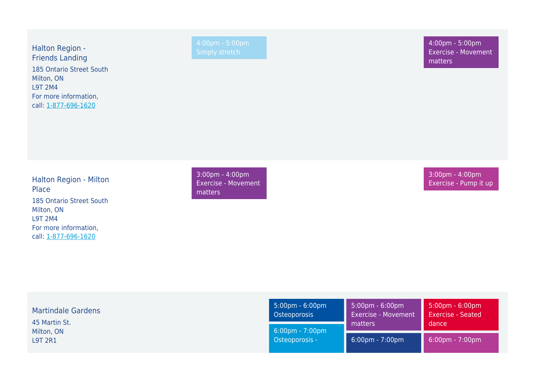Halton Region - Friends Landing 185 Ontario Street South Milton, ON L9T 2M4 For more information, call: [1-877-696-1620](#page--1-0)

4:00pm - 5:00pm Exercise - Movement matters

Halton Region - Milton Place 185 Ontario Street South Milton, ON L9T 2M4 For more information, call: [1-877-696-1620](#page--1-0)

3:00pm - 4:00pm Exercise - Movement matters

3:00pm - 4:00pm Exercise - Pump it up

| <b>Martindale Gardens</b><br>45 Martin St. | $5:00 \text{pm} - 6:00 \text{pm}$<br>Osteoporosis<br>$6:00 \text{pm} - 7:00 \text{pm}$<br>Osteoporosis - | $\frac{1}{2}$ 5:00pm - 6:00pm<br><b>Exercise - Movement</b><br>matters | $5:00 \text{pm} - 6:00 \text{pm}$<br><b>Exercise - Seated</b><br>dance |
|--------------------------------------------|----------------------------------------------------------------------------------------------------------|------------------------------------------------------------------------|------------------------------------------------------------------------|
| Milton, ON<br><b>L9T 2R1</b>               |                                                                                                          | $6:00 \text{pm} - 7:00 \text{pm}$                                      | $6:00 \text{pm} - 7:00 \text{pm}$                                      |